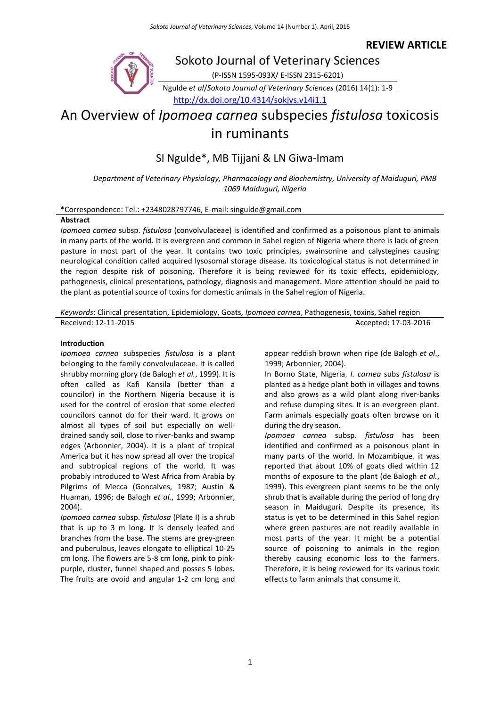**REVIEW ARTICLE**

# Sokoto Journal of Veterinary Sciences (P-ISSN 1595-093X/ E-ISSN 2315-6201) Ngulde *et al*/*Sokoto Journal of Veterinary Sciences* (2016) 14(1): 1-9 <http://dx.doi.org/10.4314/sokjvs.v14i1.1>

# An Overview of *Ipomoea carnea* subspecies *fistulosa* toxicosis in ruminants

# SI Ngulde\*, MB Tijjani & LN Giwa-Imam

*Department of Veterinary Physiology, Pharmacology and Biochemistry, University of Maiduguri, PMB 1069 Maiduguri, Nigeria*

#### \*Correspondence: Tel.: +2348028797746, E-mail: singulde@gmail.com

#### **Abstract**

*Ipomoea carnea* subsp. *fistulosa* (convolvulaceae) is identified and confirmed as a poisonous plant to animals in many parts of the world. It is evergreen and common in Sahel region of Nigeria where there is lack of green pasture in most part of the year. It contains two toxic principles, swainsonine and calystegines causing neurological condition called acquired lysosomal storage disease. Its toxicological status is not determined in the region despite risk of poisoning. Therefore it is being reviewed for its toxic effects, epidemiology, pathogenesis, clinical presentations, pathology, diagnosis and management. More attention should be paid to the plant as potential source of toxins for domestic animals in the Sahel region of Nigeria.

*Keywords*: Clinical presentation, Epidemiology, Goats, *Ipomoea carnea*, Pathogenesis, toxins, Sahel region Received: 12-11-2015 **Accepted: 17-03-2016** 

#### **Introduction**

*Ipomoea carnea* subspecies *fistulosa* is a plant belonging to the family convolvulaceae. It is called shrubby morning glory (de Balogh *et al.*, 1999). It is often called as Kafi Kansila (better than a councilor) in the Northern Nigeria because it is used for the control of erosion that some elected councilors cannot do for their ward. It grows on almost all types of soil but especially on welldrained sandy soil, close to river-banks and swamp edges (Arbonnier, 2004). It is a plant of tropical America but it has now spread all over the tropical and subtropical regions of the world. It was probably introduced to West Africa from Arabia by Pilgrims of Mecca (Goncalves, 1987; Austin & Huaman, 1996; de Balogh *et al.*, 1999; Arbonnier, 2004).

*Ipomoea carnea* subsp. *fistulosa* (Plate I) is a shrub that is up to 3 m long. It is densely leafed and branches from the base. The stems are grey-green and puberulous, leaves elongate to elliptical 10-25 cm long. The flowers are 5-8 cm long, pink to pinkpurple, cluster, funnel shaped and posses 5 lobes. The fruits are ovoid and angular 1-2 cm long and appear reddish brown when ripe (de Balogh *et al*., 1999; Arbonnier, 2004).

In Borno State, Nigeria, *I. carnea* subs *fistulosa* is planted as a hedge plant both in villages and towns and also grows as a wild plant along river-banks and refuse dumping sites. It is an evergreen plant. Farm animals especially goats often browse on it during the dry season.

*Ipomoea carnea* subsp. *fistulosa* has been identified and confirmed as a poisonous plant in many parts of the world. In Mozambique, it was reported that about 10% of goats died within 12 months of exposure to the plant (de Balogh *et al.*, 1999). This evergreen plant seems to be the only shrub that is available during the period of long dry season in Maiduguri. Despite its presence, its status is yet to be determined in this Sahel region where green pastures are not readily available in most parts of the year. It might be a potential source of poisoning to animals in the region thereby causing economic loss to the farmers. Therefore, it is being reviewed for its various toxic effects to farm animals that consume it.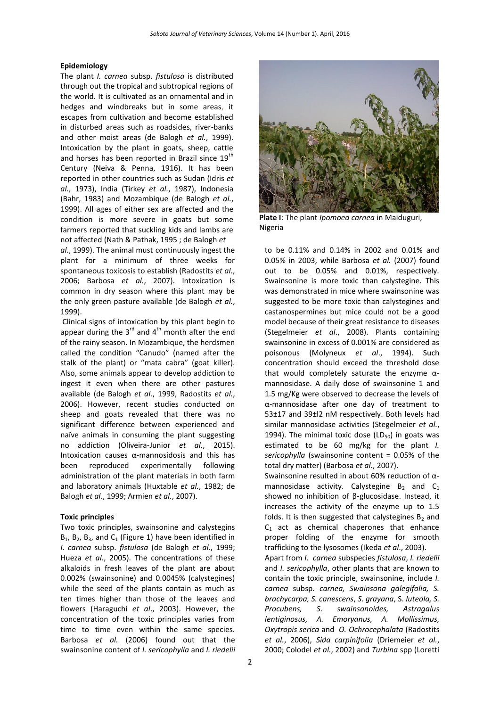#### **Epidemiology**

The plant *I. carnea* subsp. *fistulosa* is distributed through out the tropical and subtropical regions of the world. It is cultivated as an ornamental and in hedges and windbreaks but in some areas, it escapes from cultivation and become established in disturbed areas such as roadsides, river-banks and other moist areas (de Balogh *et al.*, 1999). Intoxication by the plant in goats, sheep, cattle and horses has been reported in Brazil since  $19<sup>tn</sup>$ Century (Neiva & Penna, 1916). It has been reported in other countries such as Sudan (Idris *et al.*, 1973), India (Tirkey *et al.*, 1987), Indonesia (Bahr, 1983) and Mozambique (de Balogh *et al.*, 1999). All ages of either sex are affected and the condition is more severe in goats but some farmers reported that suckling kids and lambs are not affected (Nath & Pathak, 1995 ; de Balogh *et* 

*al*., 1999). The animal must continuously ingest the plant for a minimum of three weeks for spontaneous toxicosis to establish (Radostits *et al*., 2006; Barbosa *et al.*, 2007). Intoxication is common in dry season where this plant may be the only green pasture available (de Balogh *et al.*, 1999).

Clinical signs of intoxication by this plant begin to appear during the  $3^{rd}$  and  $4^{th}$  month after the end of the rainy season. In Mozambique, the herdsmen called the condition "Canudo" (named after the stalk of the plant) or "mata cabra" (goat killer). Also, some animals appear to develop addiction to ingest it even when there are other pastures available (de Balogh *et al.*, 1999, Radostits *et al.*, 2006). However, recent studies conducted on sheep and goats revealed that there was no significant difference between experienced and naïve animals in consuming the plant suggesting no addiction (Oliveira-Junior *et al.*, 2015). Intoxication causes α-mannosidosis and this has been reproduced experimentally following administration of the plant materials in both farm and laboratory animals (Huxtable *et al.*, 1982; de Balogh *et al.*, 1999; Armien *et al.*, 2007).

#### **Toxic principles**

Two toxic principles, swainsonine and calystegins  $B_1$ ,  $B_2$ ,  $B_3$ , and  $C_1$  (Figure 1) have been identified in *I. carnea* subsp. *fistulosa* (de Balogh *et al.*, 1999; Hueza *et al.*, 2005). The concentrations of these alkaloids in fresh leaves of the plant are about 0.002% (swainsonine) and 0.0045% (calystegines) while the seed of the plants contain as much as ten times higher than those of the leaves and flowers (Haraguchi *et al*., 2003). However, the concentration of the toxic principles varies from time to time even within the same species. Barbosa *et al.* (2006) found out that the swainsonine content of *I. sericophylla* and *I. riedelii*



**Plate I**: The plant *Ipomoea carnea* in Maiduguri, Nigeria

to be 0.11% and 0.14% in 2002 and 0.01% and 0.05% in 2003, while Barbosa *et al.* (2007) found out to be 0.05% and 0.01%, respectively. Swainsonine is more toxic than calystegine. This was demonstrated in mice where swainsonine was suggested to be more toxic than calystegines and castanospermines but mice could not be a good model because of their great resistance to diseases (Stegelmeier *et al*., 2008). Plants containing swainsonine in excess of 0.001% are considered as poisonous (Molyneux *et al*., 1994). Such concentration should exceed the threshold dose that would completely saturate the enzyme αmannosidase. A daily dose of swainsonine 1 and 1.5 mg/Kg were observed to decrease the levels of α-mannosidase after one day of treatment to 53±17 and 39±l2 nM respectively. Both levels had similar mannosidase activities (Stegelmeier *et al.*, 1994). The minimal toxic dose  $(LD_{50})$  in goats was estimated to be 60 mg/kg for the plant *I. sericophylla* (swainsonine content = 0.05% of the total dry matter) (Barbosa *et al*., 2007).

Swainsonine resulted in about 60% reduction of αmannosidase activity. Calystegine  $B_2$  and  $C_1$ showed no inhibition of β-glucosidase. Instead, it increases the activity of the enzyme up to 1.5 folds. It is then suggested that calystegines  $B_2$  and  $C_1$  act as chemical chaperones that enhance proper folding of the enzyme for smooth trafficking to the lysosomes (Ikeda *et al*., 2003).

Apart from *I. carnea* subspecies *fistulosa*, *I. riedelii* and *I. sericophylla*, other plants that are known to contain the toxic principle, swainsonine, include *I. carnea* subsp. *carnea, Swainsona galegifolia, S. brachycarpa, S. canescens*, *S. grayana*, S. *luteola, S. Procubens, S. swainsonoides, Astragalus lentiginosus, A. Emoryanus, A. Mollissimus, Oxytropis serica* and *O. Ochrocephalata* (Radostits *et al.*, 2006), *Sida carpinifolia* (Driemeier *et al.*, 2000; Colodel *et al.*, 2002) and *Turbina* spp (Loretti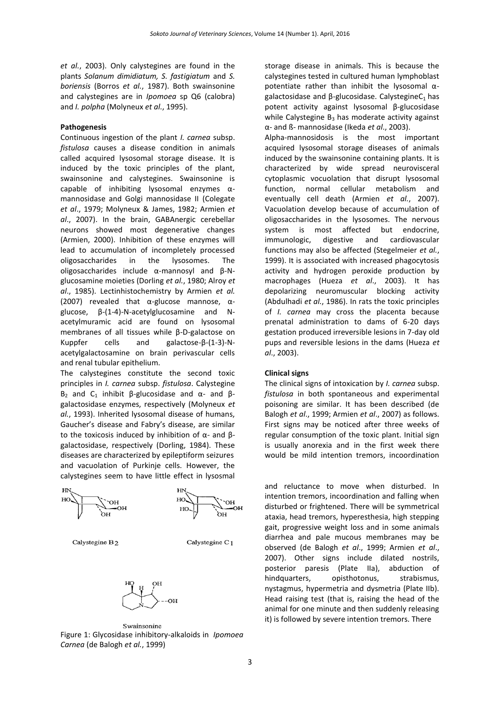*et al.*, 2003). Only calystegines are found in the plants *Solanum dimidiatum, S. fastigiatum* and *S. boriensis* (Borros *et al.*, 1987). Both swainsonine and calystegines are in *Ipomoea* sp Q6 (calobra) and *I. polpha* (Molyneux *et al.*, 1995).

#### **Pathogenesis**

Continuous ingestion of the plant *I. carnea* subsp. *fistulosa* causes a disease condition in animals called acquired lysosomal storage disease. It is induced by the toxic principles of the plant, swainsonine and calystegines. Swainsonine is capable of inhibiting lysosomal enzymes αmannosidase and Golgi mannosidase II (Colegate *et al*., 1979; Molyneux & James, 1982; Armien *et al*., 2007). In the brain, GABAnergic cerebellar neurons showed most degenerative changes (Armien, 2000). Inhibition of these enzymes will lead to accumulation of incompletely processed oligosaccharides in the lysosomes. The oligosaccharides include α-mannosyl and β-Nglucosamine moieties (Dorling *et al.*, 1980; Alroy *et al*., 1985). Lectinhistochemistry by Armien *et al.*  (2007) revealed that α-glucose mannose, αglucose, β-(1-4)-N-acetylglucosamine and Nacetylmuramic acid are found on lysosomal membranes of all tissues while β-D-galactose on Kuppfer cells and galactose-β-(1-3)-Nacetylgalactosamine on brain perivascular cells and renal tubular epithelium.

The calystegines constitute the second toxic principles in *I. carnea* subsp. *fistulosa*. Calystegine B<sub>2</sub> and C<sub>1</sub> inhibit β-glucosidase and  $\alpha$ - and βgalactosidase enzymes, respectively (Molyneux *et al.*, 1993). Inherited lysosomal disease of humans, Gaucher's disease and Fabry's disease, are similar to the toxicosis induced by inhibition of α- and βgalactosidase, respectively (Dorling, 1984). These diseases are characterized by epileptiform seizures and vacuolation of Purkinje cells. However, the calystegines seem to have little effect in lysosmal



Calystegine B<sub>2</sub>

Calystegine C<sub>1</sub>



Swainsonine Figure 1: Glycosidase inhibitory-alkaloids in *Ipomoea Carnea* (de Balogh *et al.*, 1999)

storage disease in animals. This is because the calystegines tested in cultured human lymphoblast potentiate rather than inhibit the lysosomal αgalactosidase and β-glucosidase. CalystegineC<sub>1</sub> has potent activity against lysosomal β-glucosidase while Calystegine  $B_3$  has moderate activity against α- and ß- mannosidase (Ikeda *et al*., 2003).

Alpha-mannosidosis is the most important acquired lysosomal storage diseases of animals induced by the swainsonine containing plants. It is characterized by wide spread neurovisceral cytoplasmic vocuolation that disrupt lysosomal function, normal cellular metabolism and eventually cell death (Armien *et al.*, 2007). Vacuolation develop because of accumulation of oligosaccharides in the lysosomes. The nervous system is most affected but endocrine, immunologic, digestive and cardiovascular functions may also be affected (Stegelmeier *et al.*, 1999). It is associated with increased phagocytosis activity and hydrogen peroxide production by macrophages (Hueza *et al*., 2003). It has depolarizing neuromuscular blocking activity (Abdulhadi *et al.*, 1986). In rats the toxic principles of *I. carnea* may cross the placenta because prenatal administration to dams of 6-20 days gestation produced irreversible lesions in 7-day old pups and reversible lesions in the dams (Hueza *et al*., 2003).

#### **Clinical signs**

The clinical signs of intoxication by *I. carnea* subsp. *fistulosa* in both spontaneous and experimental poisoning are similar. It has been described (de Balogh *et al*., 1999; Armien *et al*., 2007) as follows. First signs may be noticed after three weeks of regular consumption of the toxic plant. Initial sign is usually anorexia and in the first week there would be mild intention tremors, incoordination

and reluctance to move when disturbed. In intention tremors, incoordination and falling when disturbed or frightened. There will be symmetrical ataxia, head tremors, hyperesthesia, high stepping gait, progressive weight loss and in some animals diarrhea and pale mucous membranes may be observed (de Balogh *et al*., 1999; Armien *et al*., 2007). Other signs include dilated nostrils, posterior paresis (Plate IIa), abduction of hindquarters, opisthotonus, strabismus, nystagmus, hypermetria and dysmetria (Plate IIb). Head raising test (that is, raising the head of the animal for one minute and then suddenly releasing it) is followed by severe intention tremors. There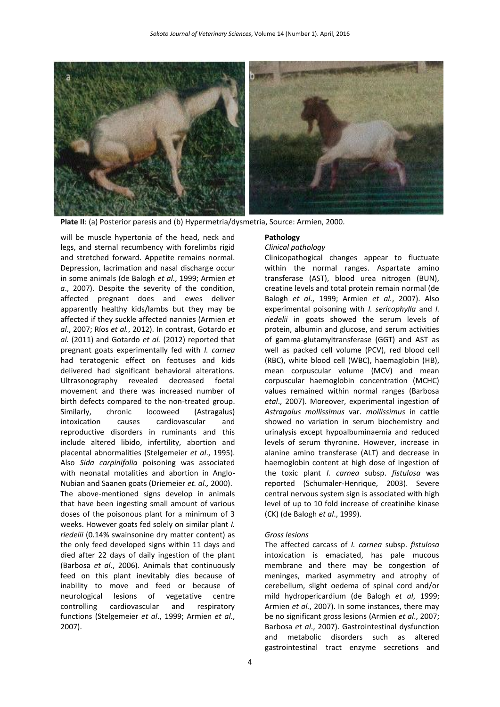

**Plate II**: (a) Posterior paresis and (b) Hypermetria/dysmetria, Source: Armien, 2000.

will be muscle hypertonia of the head, neck and legs, and sternal recumbency with forelimbs rigid and stretched forward. Appetite remains normal. Depression, lacrimation and nasal discharge occur in some animals (de Balogh *et al*., 1999; Armien *et a*., 2007). Despite the severity of the condition, affected pregnant does and ewes deliver apparently healthy kids/lambs but they may be affected if they suckle affected nannies (Armien *et al*., 2007; Ríos *et al.*, 2012). In contrast, Gotardo *et al.* (2011) and Gotardo *et al.* (2012) reported that pregnant goats experimentally fed with *I. carnea* had teratogenic effect on feotuses and kids delivered had significant behavioral alterations. Ultrasonography revealed decreased foetal movement and there was increased number of birth defects compared to the non-treated group. Similarly, chronic locoweed (Astragalus) intoxication causes cardiovascular and reproductive disorders in ruminants and this include altered libido, infertility, abortion and placental abnormalities (Stelgemeier *et al*., 1995). Also *Sida carpinifolia* poisoning was associated with neonatal motalities and abortion in Anglo-Nubian and Saanen goats (Driemeier *et. al.,* 2000). The above-mentioned signs develop in animals that have been ingesting small amount of various doses of the poisonous plant for a minimum of 3 weeks. However goats fed solely on similar plant *I. riedelii* (0.14% swainsonine dry matter content) as the only feed developed signs within 11 days and died after 22 days of daily ingestion of the plant (Barbosa *et al.*, 2006). Animals that continuously feed on this plant inevitably dies because of inability to move and feed or because of neurological lesions of vegetative centre controlling cardiovascular and respiratory functions (Stelgemeier *et al*., 1999; Armien *et al*., 2007).

#### **Pathology**

# *Clinical pathology*

Clinicopathogical changes appear to fluctuate within the normal ranges. Aspartate amino transferase (AST), blood urea nitrogen (BUN), creatine levels and total protein remain normal (de Balogh *et al*., 1999; Armien *et al.*, 2007). Also experimental poisoning with *I. sericophylla* and *I. riedelii* in goats showed the serum levels of protein, albumin and glucose, and serum activities of gamma-glutamyltransferase (GGT) and AST as well as packed cell volume (PCV), red blood cell (RBC), white blood cell (WBC), haemaglobin (HB), mean corpuscular volume (MCV) and mean corpuscular haemoglobin concentration (MCHC) values remained within normal ranges (Barbosa *etal*., 2007). Moreover, experimental ingestion of *Astragalus mollissimus* var. *mollissimus* in cattle showed no variation in serum biochemistry and urinalysis except hypoalbuminaemia and reduced levels of serum thyronine. However, increase in alanine amino transferase (ALT) and decrease in haemoglobin content at high dose of ingestion of the toxic plant *I. carnea* subsp. *fistulosa* was reported (Schumaler-Henrique, 2003). Severe central nervous system sign is associated with high level of up to 10 fold increase of creatinihe kinase (CK) (de Balogh *et al*., 1999).

#### *Gross lesions*

The affected carcass of *I. carnea* subsp. *fistulosa*  intoxication is emaciated, has pale mucous membrane and there may be congestion of meninges, marked asymmetry and atrophy of cerebellum, slight oedema of spinal cord and/or mild hydropericardium (de Balogh *et al*, 1999; Armien *et al.*, 2007). In some instances, there may be no significant gross lesions (Armien *et al*., 2007; Barbosa *et al*., 2007). Gastrointestinal dysfunction and metabolic disorders such as altered gastrointestinal tract enzyme secretions and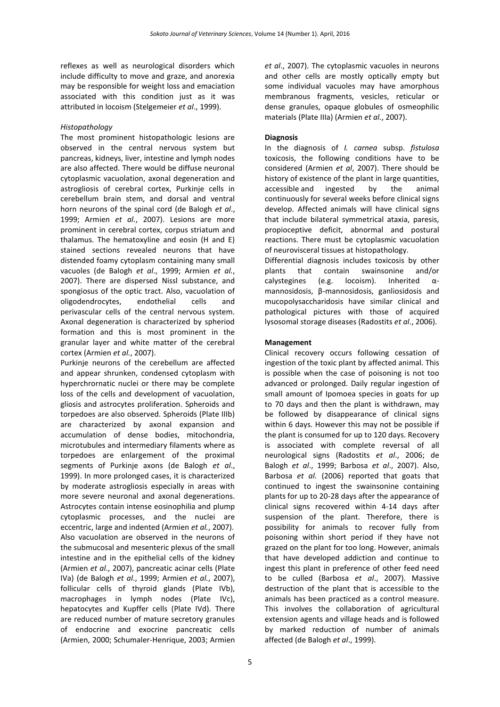reflexes as well as neurological disorders which include difficulty to move and graze, and anorexia may be responsible for weight loss and emaciation associated with this condition just as it was attributed in locoism (Stelgemeier *et al*., 1999).

## *Histopathology*

The most prominent histopathologic lesions are observed in the central nervous system but pancreas, kidneys, liver, intestine and lymph nodes are also affected. There would be diffuse neuronal cytoplasmic vacuolation, axonal degeneration and astrogliosis of cerebral cortex, Purkinje cells in cerebellum brain stem, and dorsal and ventral horn neurons of the spinal cord (de Balogh *et al*., 1999; Armien *et al.*, 2007). Lesions are more prominent in cerebral cortex, corpus striatum and thalamus. The hematoxyline and eosin (H and E) stained sections revealed neurons that have distended foamy cytoplasm containing many small vacuoles (de Balogh *et al*., 1999; Armien *et al.*, 2007). There are dispersed Nissl substance, and spongiosus of the optic tract. Also, vacuolation of oligodendrocytes, endothelial cells and perivascular cells of the central nervous system. Axonal degeneration is characterized by spheriod formation and this is most prominent in the granular layer and white matter of the cerebral cortex (Armien *et al.*, 2007).

Purkinje neurons of the cerebellum are affected and appear shrunken, condensed cytoplasm with hyperchrornatic nuclei or there may be complete loss of the cells and development of vacuolation, gliosis and astrocytes proliferation. Spheroids and torpedoes are also observed. Spheroids (Plate IIIb) are characterized by axonal expansion and accumulation of dense bodies, mitochondria, microtubules and intermediary filaments where as torpedoes are enlargement of the proximal segments of Purkinje axons (de Balogh *et al*., 1999). In more prolonged cases, it is characterized by moderate astrogliosis especially in areas with more severe neuronal and axonal degenerations. Astrocytes contain intense eosinophilia and plump cytoplasmic processes, and the nuclei are eccentric, large and indented (Armien *et al.*, 2007). Also vacuolation are observed in the neurons of the submucosal and mesenteric plexus of the small intestine and in the epithelial cells of the kidney (Armien *et al*., 2007), pancreatic acinar cells (Plate IVa) (de Balogh *et al*., 1999; Armien *et al.*, 2007), follicular cells of thyroid glands (Plate IVb), macrophages in lymph nodes (Plate IVc), hepatocytes and Kupffer cells (Plate IVd). There are reduced number of mature secretory granules of endocrine and exocrine pancreatic cells (Armien, 2000; Schumaler-Henrique, 2003; Armien

*et al*., 2007). The cytoplasmic vacuoles in neurons and other cells are mostly optically empty but some individual vacuoles may have amorphous membranous fragments, vesicles, reticular or dense granules, opaque globules of osmeophilic materials (Plate IIIa) (Armien *et al.*, 2007).

## **Diagnosis**

In the diagnosis of *I. carnea* subsp. *fistulosa*  toxicosis, the following conditions have to be considered (Armien *et al*, 2007). There should be history of existence of the plant in large quantities, accessible and ingested by the animal continuously for several weeks before clinical signs develop. Affected animals will have clinical signs that include bilateral symmetrical ataxia, paresis, propioceptive deficit, abnormal and postural reactions. There must be cytoplasmic vacuolation of neurovisceral tissues at histopathology.

Differential diagnosis includes toxicosis by other plants that contain swainsonine and/or calystegines (e.g. locoism). Inherited αmannosidosis, β-mannosidosis, ganliosidosis and mucopolysaccharidosis have similar clinical and pathological pictures with those of acquired lysosomal storage diseases (Radostits *et al*., 2006).

# **Management**

Clinical recovery occurs following cessation of ingestion of the toxic plant by affected animal. This is possible when the case of poisoning is not too advanced or prolonged. Daily regular ingestion of small amount of Ipomoea species in goats for up to 70 days and then the plant is withdrawn, may be followed by disappearance of clinical signs within 6 days. However this may not be possible if the plant is consumed for up to 120 days. Recovery is associated with complete reversal of all neurological signs (Radostits *et al*., 2006; de Balogh *et al*., 1999; Barbosa *et al*., 2007). Also, Barbosa *et al.* (2006) reported that goats that continued to ingest the swainsonine containing plants for up to 20-28 days after the appearance of clinical signs recovered within 4-14 days after suspension of the plant. Therefore, there is possibility for animals to recover fully from poisoning within short period if they have not grazed on the plant for too long. However, animals that have developed addiction and continue to ingest this plant in preference of other feed need to be culled (Barbosa *et al*., 2007). Massive destruction of the plant that is accessible to the animals has been practiced as a control measure. This involves the collaboration of agricultural extension agents and village heads and is followed by marked reduction of number of animals affected (de Balogh *et al*., 1999).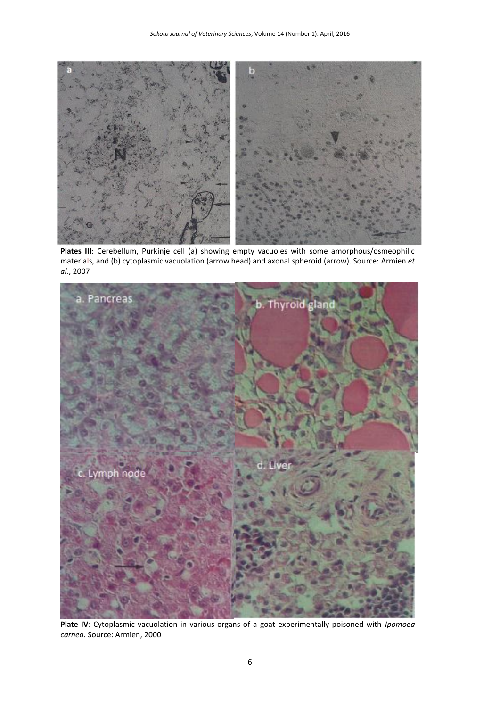

Plates III: Cerebellum, Purkinje cell (a) showing empty vacuoles with some amorphous/osmeophilic materials, and (b) cytoplasmic vacuolation (arrow head) and axonal spheroid (arrow). Source: Armien *et al.*, 2007



**Plate IV**: Cytoplasmic vacuolation in various organs of a goat experimentally poisoned with *Ipomoea carnea.* Source: Armien, 2000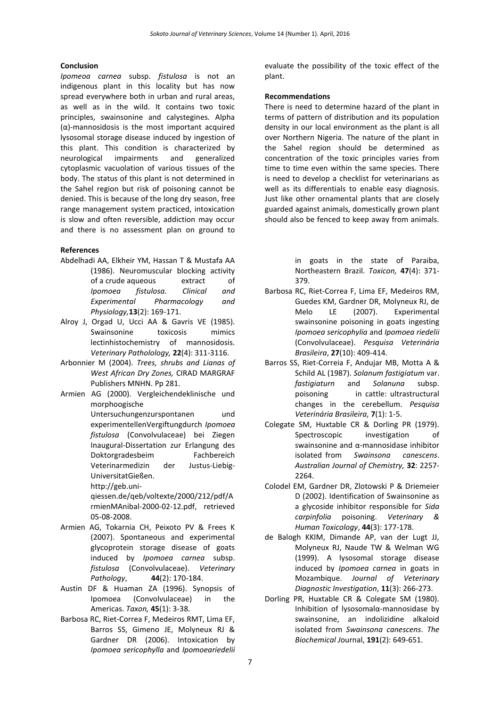#### **Conclusion**

*Ipomeoa carnea* subsp. *fistulosa* is not an indigenous plant in this locality but has now spread everywhere both in urban and rural areas, as well as in the wild. It contains two toxic principles, swainsonine and calystegines. Alpha (α)-mannosidosis is the most important acquired lysosomal storage disease induced by ingestion of this plant. This condition is characterized by neurological impairments and generalized cytoplasmic vacuolation of various tissues of the body. The status of this plant is not determined in the Sahel region but risk of poisoning cannot be denied. This is because of the long dry season, free range management system practiced, intoxication is slow and often reversible, addiction may occur and there is no assessment plan on ground to

#### **References**

- Abdelhadi AA, Elkheir YM, Hassan T & Mustafa AA (1986). Neuromuscular blocking activity of a crude aqueous extract of *Ipomoea fistulosa. Clinical and Experimental Pharmacology and Physiology,***13**(2): 169-171.
- Alroy J, Orgad U, Ucci AA & Gavris VE (1985). Swainsonine toxicosis mimics lectinhistochemistry of mannosidosis. *Veterinary Patholology,* **22**(4): 311-3116.
- Arbonnier M (2004). *Trees, shrubs and Lianas of West African Dry Zones,* CIRAD MARGRAF Publishers MNHN. Pp 281.
- Armien AG (2000). Vergleichendeklinische und morphoogische Untersuchungenzurspontanen und experimentellenVergiftungdurch *Ipomoea fistulosa* (Convolvulaceae) bei Ziegen Inaugural-Dissertation zur Erlangung des Doktorgradesbeim Fachbereich Veterinarmedizin der Justus-Liebig-UniversitatGießen. [http://geb.uni-](http://geb.uni-qiessen.de/qeb/voltexte/2000/212/pdf/ArmienMAnibal-2000-02-12.pdf)

[qiessen.de/qeb/voltexte/2000/212/pdf/A](http://geb.uni-qiessen.de/qeb/voltexte/2000/212/pdf/ArmienMAnibal-2000-02-12.pdf) [rmienMAnibal-2000-02-12.pdf,](http://geb.uni-qiessen.de/qeb/voltexte/2000/212/pdf/ArmienMAnibal-2000-02-12.pdf) retrieved 05-08-2008.

- Armien AG, Tokarnia CH, Peixoto PV & Frees K (2007). Spontaneous and experimental glycoprotein storage disease of goats induced by *Ipomoea carnea* subsp. *fistulosa* (Convolvulaceae). *Veterinary Pathology*, **44**(2): 170-184.
- Austin DF & Huaman ZA (1996). Synopsis of Ipomoea (Convolvulaceae) in the Americas. *Taxon,* **45**(1): 3-38.
- Barbosa RC, Riet-Correa F, Medeiros RMT, Lima EF, Barros SS, Gimeno JE, Molyneux RJ & Gardner DR (2006). Intoxication by *Ipomoea sericophylla* and *Ipomoeariedelii*

evaluate the possibility of the toxic effect of the plant.

#### **Recommendations**

There is need to determine hazard of the plant in terms of pattern of distribution and its population density in our local environment as the plant is all over Northern Nigeria. The nature of the plant in the Sahel region should be determined as concentration of the toxic principles varies from time to time even within the same species. There is need to develop a checklist for veterinarians as well as its differentials to enable easy diagnosis. Just like other ornamental plants that are closely guarded against animals, domestically grown plant should also be fenced to keep away from animals.

> in goats in the state of Paraiba, Northeastern Brazil. *Toxicon,* **47**(4): 371- 379.

- Barbosa RC, Riet-Correa F, Lima EF, Medeiros RM, Guedes KM, Gardner DR, Molyneux RJ, de Melo LE (2007). Experimental swainsonine poisoning in goats ingesting *Ipomoea sericophylia* and *Ipomoea riedelii*  (Convolvulaceae). *Pesquisa Veterinária Brasileira*, **27**(10): 409-414.
- Barros SS, Riet-Correia F, Andujar MB, Motta A & Schild AL (1987). *Solanum fastigiatum* var. *fastigiaturn* and *Solanuna* subsp. poisoning in cattle: ultrastructural changes in the cerebellum. *[Pesquisa](http://www.scielo.br/revistas/pvb/paboutj.htm)  [Veterinária Brasileira,](http://www.scielo.br/revistas/pvb/paboutj.htm)* **7**(1): 1-5.
- Colegate SM, Huxtable CR & Dorling PR (1979). Spectroscopic investigation of swainsonine and α-mannosidase inhibitor isolated from *Swainsona canescens*. *Australian Journal of Chemistry,* **32**: 2257- 2264.
- Colodel EM, Gardner DR, Zlotowski P & Driemeier D (2002). Identification of Swainsonine as a glycoside inhibitor responsible for *Sida carpinfolia* poisoning. *Veterinary & Human Toxicology*, **44**(3): 177-178.
- de Balogh KKIM, Dimande AP, van der Lugt JJ, Molyneux RJ, Naude TW & Welman WG (1999). A lysosomal storage disease induced by *Ipomoea carnea* in goats in Mozambique. *Journal of Veterinary Diagnostic Investigation*, **11**(3): 266-273.
- Dorling PR, Huxtable CR & Colegate SM (1980). Inhibition of lysosomalα-mannosidase by swainsonine, an indolizidine alkaloid isolated from *Swainsona canescens*. *The Biochemical J*ournal, **191**(2): 649-651.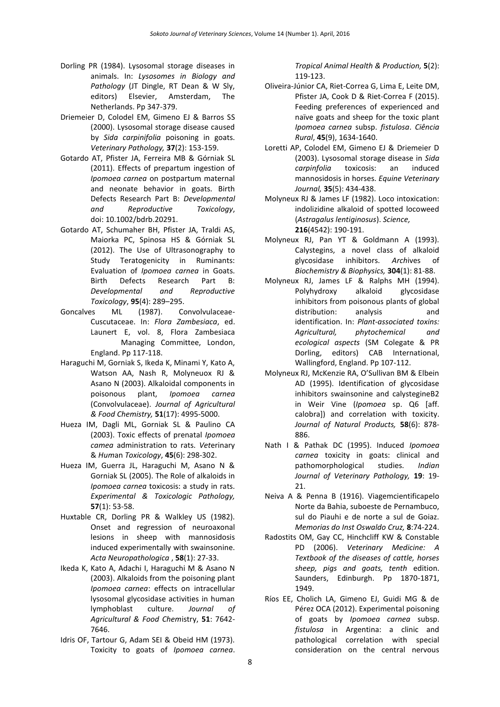- Dorling PR (1984). Lysosomal storage diseases in animals. In: *Lysosomes in Biology and Pathology* (JT Dingle, RT Dean & W Sly, editors) Elsevier, Amsterdam, The Netherlands. Pp 347-379.
- Driemeier D, Colodel EM, Gimeno EJ & Barros SS (2000). Lysosomal storage disease caused by *Sida carpinifolia* poisoning in goats. *Veterinary Pathology,* **37**(2): 153-159.
- Gotardo AT, Pfister JA, Ferreira MB & Górniak SL (2011). Effects of prepartum ingestion of *Ipomoea carnea* on postpartum maternal and neonate behavior in goats. Birth Defects Research Part B: *Developmental and Reproductive Toxicology*, doi: 10.1002/bdrb.20291.
- Gotardo AT, Schumaher BH, Pfister JA, Traldi AS, Maiorka PC, Spinosa HS & Górniak SL (2012). The Use of Ultrasonography to Study Teratogenicity in Ruminants: Evaluation of *Ipomoea carnea* in Goats. Birth Defects Research Part B: *Developmental and Reproductive Toxicology*, **95**(4): 289–295.
- Goncalves ML (1987). Convolvulaceae-Cuscutaceae. In: *Flora Zambesiaca*, ed. Launert E, vol. 8, Flora Zambesiaca Managing Committee, London, England. Pp 117-118.
- Haraguchi M, Gorniak S, Ikeda K, Minami Y, Kato A, Watson AA, Nash R, Molyneuox RJ & Asano N (2003). Alkaloidal components in poisonous plant, *Ipomoea carnea*  (Convolvulaceae). *Journal of Agricultural & Food Chemistry,* **51**(17): 4995-5000.
- Hueza IM, Dagli ML, Gorniak SL & Paulino CA (2003). Toxic effects of prenatal *Ipomoea camea* administration to rats. *Vet*erinary & *Hum*an *Toxicology*, **45**(6): 298-302.
- Hueza IM, Guerra JL, Haraguchi M, Asano N & Gorniak SL (2005). The Role of alkaloids in *Ipomoea carnea* toxicosis: a study in rats. *Experimental & Toxicologic Pathology,*  **57**(1): 53-58.
- Huxtable CR, Dorling PR & Walkley US (1982). Onset and regression of neuroaxonal lesions in sheep with mannosidosis induced experimentally with swainsonine. *Acta Neuropathologica* , **58**(1): 27-33.
- Ikeda K, Kato A, Adachi I, Haraguchi M & Asano N (2003). Alkaloids from the poisoning plant *Ipomoea carnea*: effects on intracellular lysosomal glycosidase activities in human lymphoblast culture. *Journal of Agricultural & Food Chem*istry, **51**: 7642- 7646.
- Idris OF, Tartour G, Adam SEI & Obeid HM (1973). Toxicity to goats of *Ipomoea carnea*.

*Tropical Animal Health & Production,* **5**(2): 119-123.

- Oliveira-Júnior CA, Riet-Correa G, Lima E, Leite DM, Pfister JA, Cook D & Riet-Correa F (2015). Feeding preferences of experienced and naïve goats and sheep for the toxic plant *Ipomoea carnea* subsp. *fistulosa*. *Ciência Rural*, **45**(9), 1634-1640.
- Loretti AP, Colodel EM, Gimeno EJ & Driemeier D (2003). Lysosomal storage disease in *Sida carpinfolia* toxicosis: an induced mannosidosis in horses. *Equine Veterinary Journal,* **35**(5): 434-438.
- Molyneux RJ & James LF (1982). Loco intoxication: indolizidine alkaloid of spotted locoweed (*Astragalus lentiginosus*). *Science,* **216**(4542): 190-191.
- Molyneux RJ, Pan YT & Goldmann A (1993). Calystegins, a novel class of alkaloid glycosidase inhibitors. *Arch*ives of *Biochemistry & Biophysics,* **304**(1): 81-88.
- Molyneux RJ, James LF & Ralphs MH (1994). Polyhydroxy alkaloid glycosidase inhibitors from poisonous plants of global distribution: analysis and identification. In: *Plant-associated toxins: Agricultural, phytochemical and ecological aspects* (SM Colegate & PR Dorling, editors) CAB International, Wallingford, England. Pp 107-112.
- Molyneux RJ, McKenzie RA, O'Sullivan BM & Elbein AD (1995). Identification of glycosidase inhibitors swainsonine and calystegineB2 in Weir Vine (*Ipomoea* sp. Q6 [aff. calobra]) and correlation with toxicity. *Journal of Natural Products,* **58**(6): 878- 886.
- Nath I & Pathak DC (1995). Induced *Ipomoea carnea* toxicity in goats: clinical and pathomorphological studies. *Indian Journal of Veterinary Pathology,* **19**: 19- 21.
- Neiva A & Penna B (1916). Viagemcientificapelo Norte da Bahia, suboeste de Pernambuco, sul do Piauhi e de norte a sul de Goiaz. *Memorias do Inst Oswaldo Cruz,* **8**:74-224.
- Radostits OM, Gay CC, Hinchcliff KW & Constable PD (2006). *Veterinary Medicine: A Textbook of the diseases of cattle, horses sheep, pigs and goats, tenth* edition. Saunders, Edinburgh. Pp 1870-1871, 1949.
- Ríos EE, Cholich LA, Gimeno EJ, Guidi MG & de Pérez OCA (2012). Experimental poisoning of goats by *Ipomoea carnea* subsp. *fistulosa* in Argentina: a clinic and pathological correlation with special consideration on the central nervous